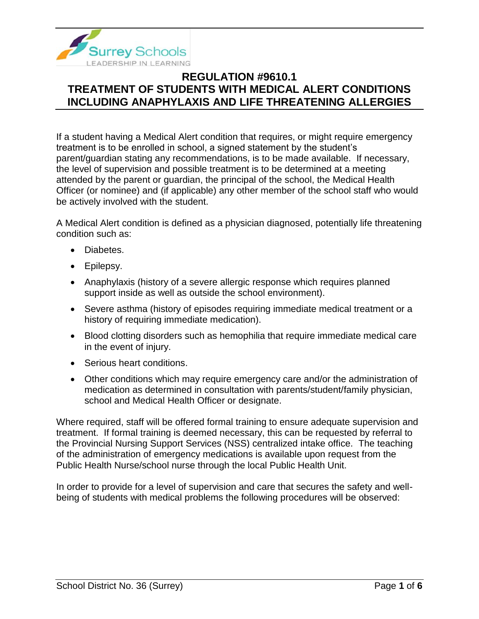

If a student having a Medical Alert condition that requires, or might require emergency treatment is to be enrolled in school, a signed statement by the student's parent/guardian stating any recommendations, is to be made available. If necessary, the level of supervision and possible treatment is to be determined at a meeting attended by the parent or guardian, the principal of the school, the Medical Health Officer (or nominee) and (if applicable) any other member of the school staff who would be actively involved with the student.

A Medical Alert condition is defined as a physician diagnosed, potentially life threatening condition such as:

- Diabetes.
- Epilepsy.
- Anaphylaxis (history of a severe allergic response which requires planned support inside as well as outside the school environment).
- Severe asthma (history of episodes requiring immediate medical treatment or a history of requiring immediate medication).
- Blood clotting disorders such as hemophilia that require immediate medical care in the event of injury.
- Serious heart conditions.
- Other conditions which may require emergency care and/or the administration of medication as determined in consultation with parents/student/family physician, school and Medical Health Officer or designate.

Where required, staff will be offered formal training to ensure adequate supervision and treatment. If formal training is deemed necessary, this can be requested by referral to the Provincial Nursing Support Services (NSS) centralized intake office. The teaching of the administration of emergency medications is available upon request from the Public Health Nurse/school nurse through the local Public Health Unit.

In order to provide for a level of supervision and care that secures the safety and wellbeing of students with medical problems the following procedures will be observed: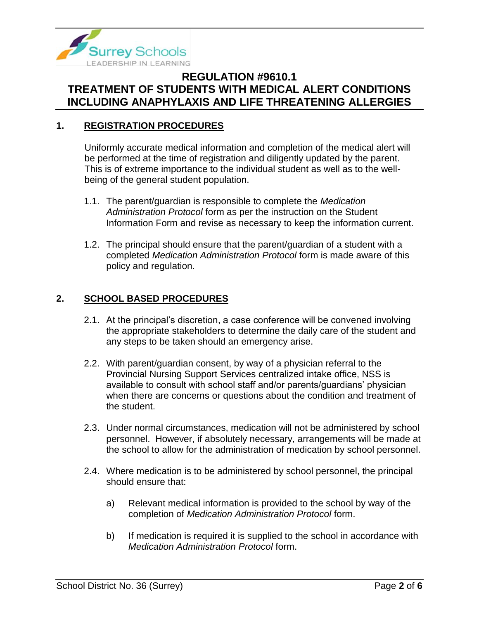

### **1. REGISTRATION PROCEDURES**

Uniformly accurate medical information and completion of the medical alert will be performed at the time of registration and diligently updated by the parent. This is of extreme importance to the individual student as well as to the wellbeing of the general student population.

- 1.1. The parent/guardian is responsible to complete the *Medication Administration Protocol* form as per the instruction on the Student Information Form and revise as necessary to keep the information current.
- 1.2. The principal should ensure that the parent/guardian of a student with a completed *Medication Administration Protocol* form is made aware of this policy and regulation.

### **2. SCHOOL BASED PROCEDURES**

- 2.1. At the principal's discretion, a case conference will be convened involving the appropriate stakeholders to determine the daily care of the student and any steps to be taken should an emergency arise.
- 2.2. With parent/guardian consent, by way of a physician referral to the Provincial Nursing Support Services centralized intake office, NSS is available to consult with school staff and/or parents/guardians' physician when there are concerns or questions about the condition and treatment of the student.
- 2.3. Under normal circumstances, medication will not be administered by school personnel. However, if absolutely necessary, arrangements will be made at the school to allow for the administration of medication by school personnel.
- 2.4. Where medication is to be administered by school personnel, the principal should ensure that:
	- a) Relevant medical information is provided to the school by way of the completion of *[Medication Administration Protocol](https://www.surreyschools.ca/forms/Documents/Medication%20Administration%20Protocol.pdf)* form.
	- b) If medication is required it is supplied to the school in accordance with *[Medication Administration Protocol](https://www.surreyschools.ca/forms/Documents/Medication%20Administration%20Protocol.pdf)* form.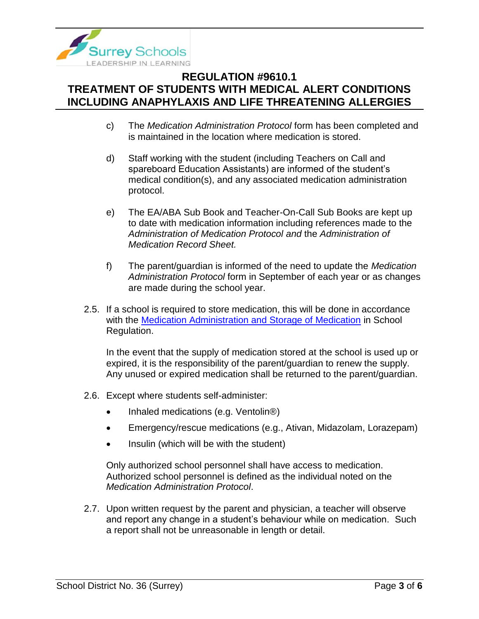

- c) The *Medication Administration Protocol* form has been completed and is maintained in the location where medication is stored.
- d) Staff working with the student (including Teachers on Call and spareboard Education Assistants) are informed of the student's medical condition(s), and any associated medication administration protocol.
- e) The EA/ABA Sub Book and Teacher-On-Call Sub Books are kept up to date with medication information including references made to the *[Administration of Medication Protocol](https://www.surreyschools.ca/forms/Documents/Medication%20Administration%20Protocol.pdf) and* the *[Administration of](https://www.surreyschools.ca/forms/Documents/Administration%20of%20Medication%20Record%20Sheet.pdf)  [Medication Record Sheet.](https://www.surreyschools.ca/forms/Documents/Administration%20of%20Medication%20Record%20Sheet.pdf)*
- f) The parent/guardian is informed of the need to update the *[Medication](https://www.surreyschools.ca/forms/Documents/Medication%20Administration%20Protocol.pdf)  [Administration](https://www.surreyschools.ca/forms/Documents/Medication%20Administration%20Protocol.pdf) Protocol* form in September of each year or as changes are made during the school year.
- 2.5. If a school is required to store medication, this will be done in accordance with the [Medication Administration and Storage of Medication](https://www.surreyschools.ca/departments/SECT/PoliciesRegulations/section_9000/Documents/9610.4%20Regulation.pdf) in School Regulation.

In the event that the supply of medication stored at the school is used up or expired, it is the responsibility of the parent/guardian to renew the supply. Any unused or expired medication shall be returned to the parent/guardian.

- 2.6. Except where students self-administer:
	- Inhaled medications (e.g. Ventolin<sup>®</sup>)
	- Emergency/rescue medications (e.g., Ativan, Midazolam, Lorazepam)
	- Insulin (which will be with the student)

Only authorized school personnel shall have access to medication. Authorized school personnel is defined as the individual noted on the *Medication Administration Protocol*.

2.7. Upon written request by the parent and physician, a teacher will observe and report any change in a student's behaviour while on medication. Such a report shall not be unreasonable in length or detail.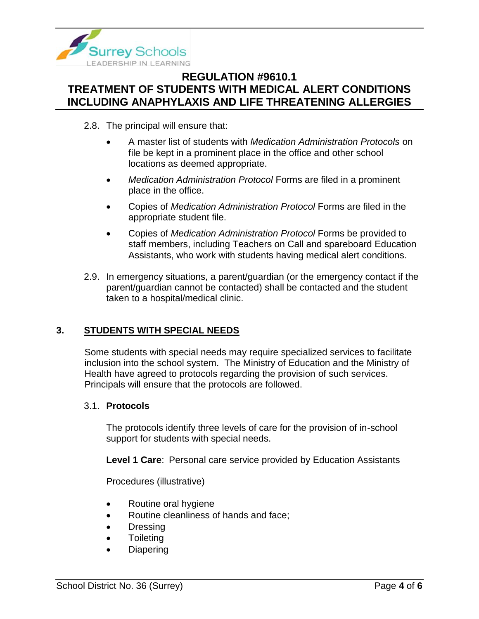

- 2.8. The principal will ensure that:
	- A master list of students with *Medication Administration Protocols* on file be kept in a prominent place in the office and other school locations as deemed appropriate.
	- *Medication Administration Protocol* Forms are filed in a prominent place in the office.
	- Copies of *Medication Administration Protocol* Forms are filed in the appropriate student file.
	- Copies of *Medication Administration Protocol* Forms be provided to staff members, including Teachers on Call and spareboard Education Assistants, who work with students having medical alert conditions.
- 2.9. In emergency situations, a parent/guardian (or the emergency contact if the parent/guardian cannot be contacted) shall be contacted and the student taken to a hospital/medical clinic.

### **3. STUDENTS WITH SPECIAL NEEDS**

Some students with special needs may require specialized services to facilitate inclusion into the school system. The Ministry of Education and the Ministry of Health have agreed to protocols regarding the provision of such services. Principals will ensure that the protocols are followed.

#### 3.1. **Protocols**

The protocols identify three levels of care for the provision of in-school support for students with special needs.

**Level 1 Care**: Personal care service provided by Education Assistants

Procedures (illustrative)

- Routine oral hygiene
- Routine cleanliness of hands and face;
- Dressing
- **Toileting**
- **Diapering**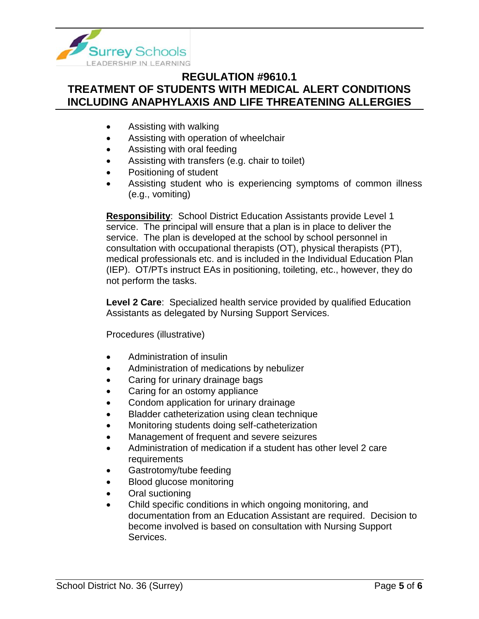

- Assisting with walking
- Assisting with operation of wheelchair
- Assisting with oral feeding
- Assisting with transfers (e.g. chair to toilet)
- Positioning of student
- Assisting student who is experiencing symptoms of common illness (e.g., vomiting)

**Responsibility**: School District Education Assistants provide Level 1 service. The principal will ensure that a plan is in place to deliver the service. The plan is developed at the school by school personnel in consultation with occupational therapists (OT), physical therapists (PT), medical professionals etc. and is included in the Individual Education Plan (IEP). OT/PTs instruct EAs in positioning, toileting, etc., however, they do not perform the tasks.

**Level 2 Care**: Specialized health service provided by qualified Education Assistants as delegated by Nursing Support Services.

Procedures (illustrative)

- Administration of insulin
- Administration of medications by nebulizer
- Caring for urinary drainage bags
- Caring for an ostomy appliance
- Condom application for urinary drainage
- Bladder catheterization using clean technique
- Monitoring students doing self-catheterization
- Management of frequent and severe seizures
- Administration of medication if a student has other level 2 care requirements
- Gastrotomy/tube feeding
- Blood glucose monitoring
- Oral suctioning
- Child specific conditions in which ongoing monitoring, and documentation from an Education Assistant are required. Decision to become involved is based on consultation with Nursing Support Services.